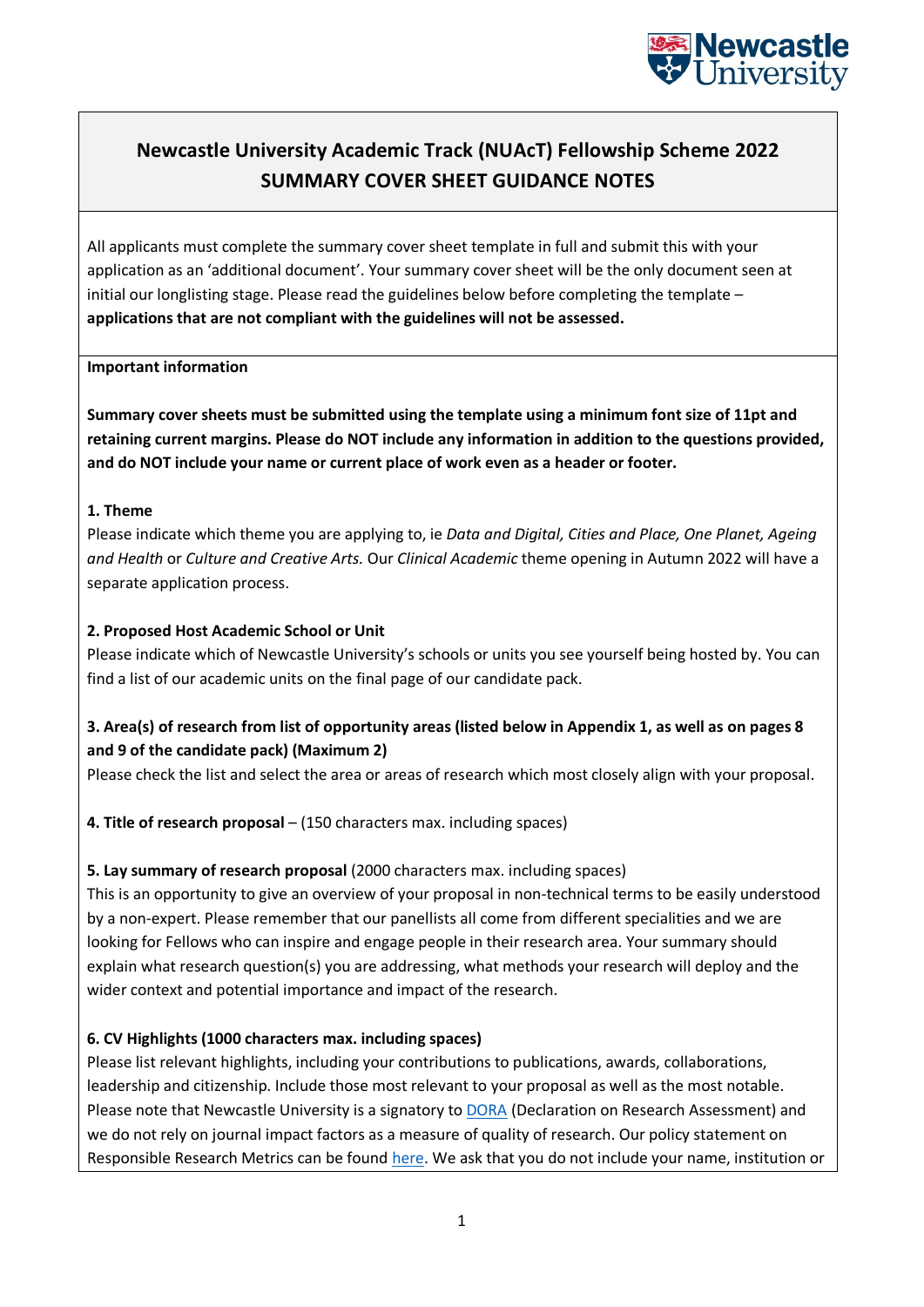

# **Newcastle University Academic Track (NUAcT) Fellowship Scheme 2022 SUMMARY COVER SHEET GUIDANCE NOTES**

All applicants must complete the summary cover sheet template in full and submit this with your application as an 'additional document'. Your summary cover sheet will be the only document seen at initial our longlisting stage. Please read the guidelines below before completing the template – **applications that are not compliant with the guidelines will not be assessed.**

### **Important information**

**Summary cover sheets must be submitted using the template using a minimum font size of 11pt and retaining current margins. Please do NOT include any information in addition to the questions provided, and do NOT include your name or current place of work even as a header or footer.**

### **1. Theme**

Please indicate which theme you are applying to, ie *Data and Digital, Cities and Place, One Planet, Ageing and Health* or *Culture and Creative Arts.* Our *Clinical Academic* theme opening in Autumn 2022 will have a separate application process.

## **2. Proposed Host Academic School or Unit**

Please indicate which of Newcastle University's schools or units you see yourself being hosted by. You can find a list of our academic units on the final page of our candidate pack.

# **3. Area(s) of research from list of opportunity areas (listed below in Appendix 1, as well as on pages 8 and 9 of the candidate pack) (Maximum 2)**

Please check the list and select the area or areas of research which most closely align with your proposal.

**4. Title of research proposal** – (150 characters max. including spaces)

## **5. Lay summary of research proposal** (2000 characters max. including spaces)

This is an opportunity to give an overview of your proposal in non-technical terms to be easily understood by a non-expert. Please remember that our panellists all come from different specialities and we are looking for Fellows who can inspire and engage people in their research area. Your summary should explain what research question(s) you are addressing, what methods your research will deploy and the wider context and potential importance and impact of the research.

## **6. CV Highlights (1000 characters max. including spaces)**

Please list relevant highlights, including your contributions to publications, awards, collaborations, leadership and citizenship. Include those most relevant to your proposal as well as the most notable. Please note that Newcastle University is a signatory to [DORA](https://sfdora.org/read/) (Declaration on Research Assessment) and we do not rely on journal impact factors as a measure of quality of research. Our policy statement on Responsible Research Metrics can be found [here.](https://www.ncl.ac.uk/research/researchgovernance/research-metrics/) We ask that you do not include your name, institution or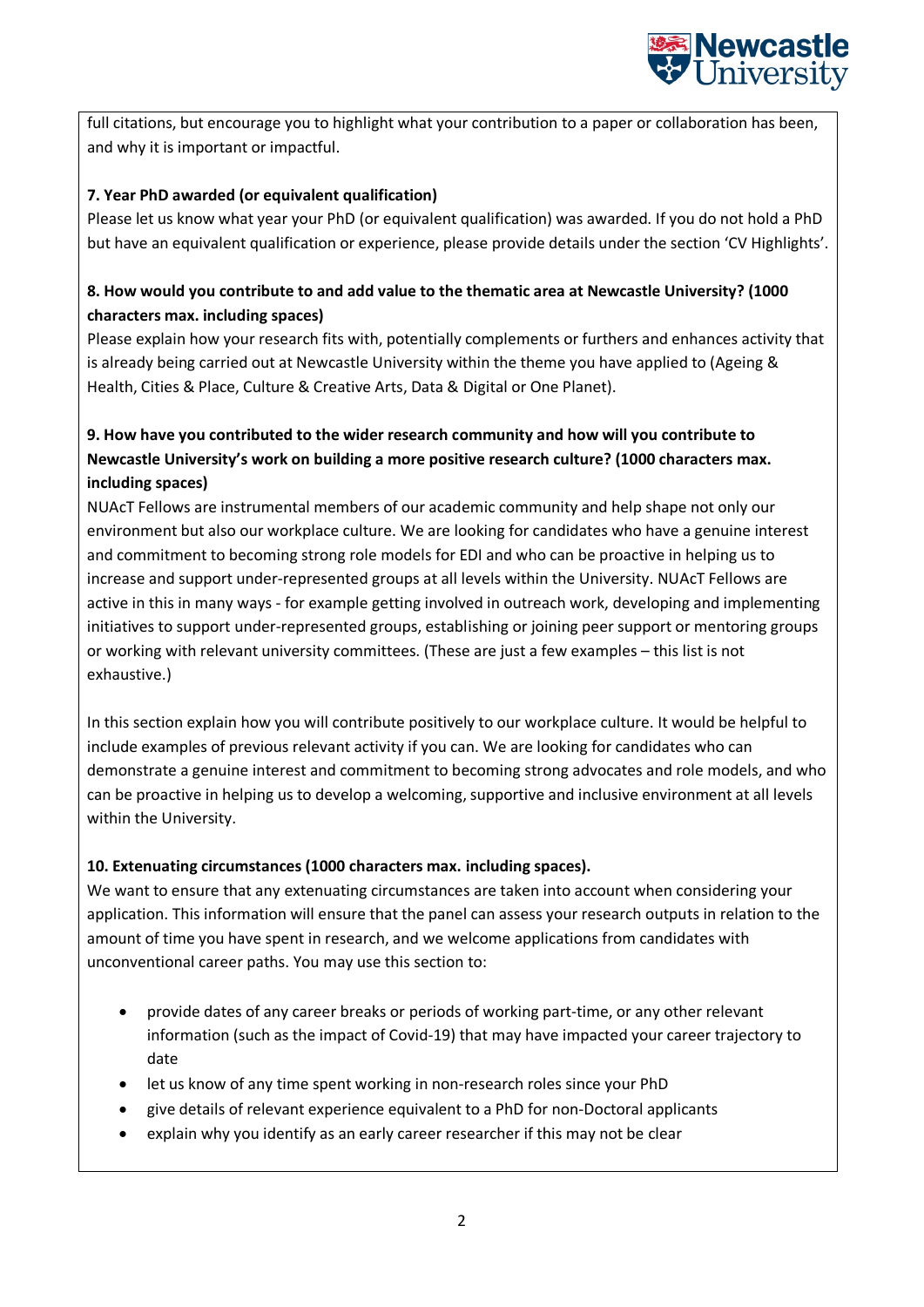

full citations, but encourage you to highlight what your contribution to a paper or collaboration has been, and why it is important or impactful.

# **7. Year PhD awarded (or equivalent qualification)**

Please let us know what year your PhD (or equivalent qualification) was awarded. If you do not hold a PhD but have an equivalent qualification or experience, please provide details under the section 'CV Highlights'.

# **8. How would you contribute to and add value to the thematic area at Newcastle University? (1000 characters max. including spaces)**

Please explain how your research fits with, potentially complements or furthers and enhances activity that is already being carried out at Newcastle University within the theme you have applied to (Ageing & Health, Cities & Place, Culture & Creative Arts, Data & Digital or One Planet).

# **9. How have you contributed to the wider research community and how will you contribute to Newcastle University's work on building a more positive research culture? (1000 characters max. including spaces)**

NUAcT Fellows are instrumental members of our academic community and help shape not only our environment but also our workplace culture. We are looking for candidates who have a genuine interest and commitment to becoming strong role models for EDI and who can be proactive in helping us to increase and support under-represented groups at all levels within the University. NUAcT Fellows are active in this in many ways - for example getting involved in outreach work, developing and implementing initiatives to support under-represented groups, establishing or joining peer support or mentoring groups or working with relevant university committees. (These are just a few examples – this list is not exhaustive.)

In this section explain how you will contribute positively to our workplace culture. It would be helpful to include examples of previous relevant activity if you can. We are looking for candidates who can demonstrate a genuine interest and commitment to becoming strong advocates and role models, and who can be proactive in helping us to develop a welcoming, supportive and inclusive environment at all levels within the University.

## **10. Extenuating circumstances (1000 characters max. including spaces).**

We want to ensure that any extenuating circumstances are taken into account when considering your application. This information will ensure that the panel can assess your research outputs in relation to the amount of time you have spent in research, and we welcome applications from candidates with unconventional career paths. You may use this section to:

- provide dates of any career breaks or periods of working part-time, or any other relevant information (such as the impact of Covid-19) that may have impacted your career trajectory to date
- let us know of any time spent working in non-research roles since your PhD
- give details of relevant experience equivalent to a PhD for non-Doctoral applicants
- explain why you identify as an early career researcher if this may not be clear